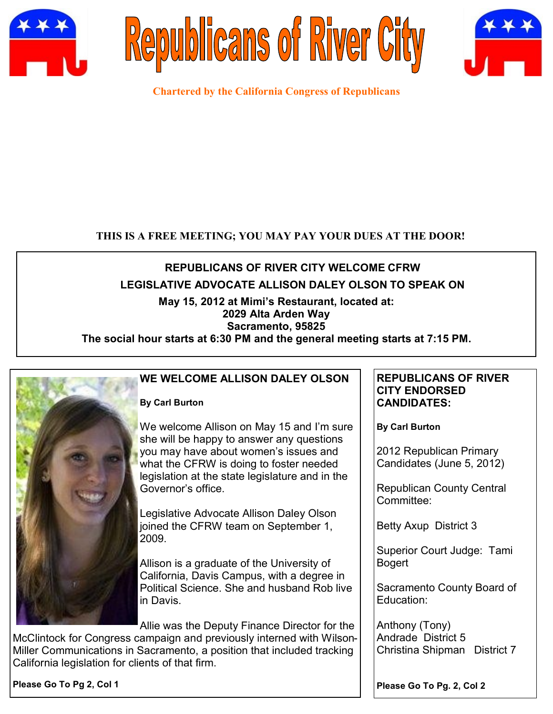





**Chartered by the California Congress of Republicans**

## **THIS IS A FREE MEETING; YOU MAY PAY YOUR DUES AT THE DOOR!**

# **REPUBLICANS OF RIVER CITY WELCOME CFRW**

## **LEGISLATIVE ADVOCATE ALLISON DALEY OLSON TO SPEAK ON**

## **May 15, 2012 at Mimi's Restaurant, located at:**

## **2029 Alta Arden Way**

## **Sacramento, 95825**

**The social hour starts at 6:30 PM and the general meeting starts at 7:15 PM.**



## **WE WELCOME ALLISON DALEY OLSON**

#### **By Carl Burton**

We welcome Allison on May 15 and I'm sure she will be happy to answer any questions you may have about women's issues and what the CFRW is doing to foster needed legislation at the state legislature and in the Governor's office.

Legislative Advocate Allison Daley Olson joined the CFRW team on September 1, 2009.

Allison is a graduate of the University of California, Davis Campus, with a degree in Political Science. She and husband Rob live in Davis.

Allie was the Deputy Finance Director for the

McClintock for Congress campaign and previously interned with Wilson-Miller Communications in Sacramento, a position that included tracking California legislation for clients of that firm.

**REPUBLICANS OF RIVER CITY ENDORSED CANDIDATES:**

**By Carl Burton**

2012 Republican Primary Candidates (June 5, 2012)

Republican County Central Committee:

Betty Axup District 3

Superior Court Judge: Tami Bogert

Sacramento County Board of Education:

Anthony (Tony) Andrade District 5 Christina Shipman District 7

**Please Go To Pg 2, Col 1**

**Please Go To Pg. 2, Col 2**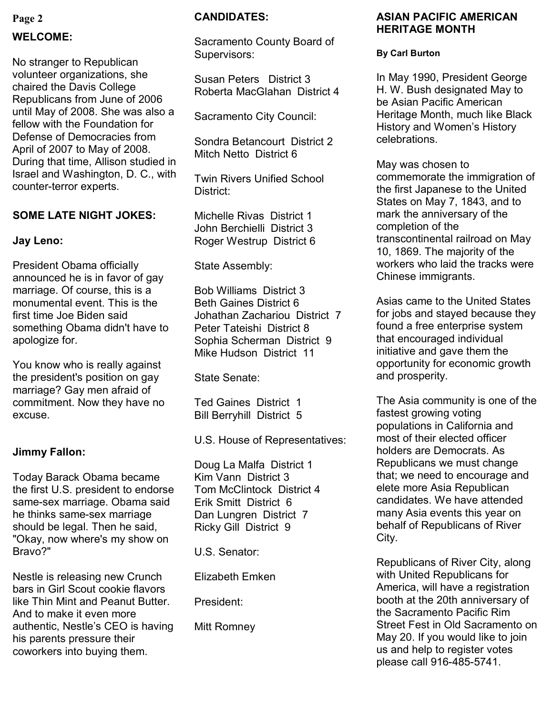## **Page 2**

## **WELCOME:**

No stranger to Republican volunteer organizations, she chaired the Davis College Republicans from June of 2006 until May of 2008. She was also a fellow with the Foundation for Defense of Democracies from April of 2007 to May of 2008. During that time, Allison studied in Israel and Washington, D. C., with counter-terror experts.

#### **SOME LATE NIGHT JOKES:**

#### **Jay Leno:**

President Obama officially announced he is in favor of gay marriage. Of course, this is a monumental event. This is the first time Joe Biden said something Obama didn't have to apologize for.

You know who is really against the president's position on gay marriage? Gay men afraid of commitment. Now they have no excuse.

#### **Jimmy Fallon:**

Today Barack Obama became the first U.S. president to endorse same-sex marriage. Obama said he thinks same-sex marriage should be legal. Then he said, "Okay, now where's my show on Bravo?"

Nestle is releasing new Crunch bars in Girl Scout cookie flavors like Thin Mint and Peanut Butter. And to make it even more authentic, Nestle's CEO is having his parents pressure their coworkers into buying them.

#### **CANDIDATES:**

Sacramento County Board of Supervisors:

Susan Peters District 3 Roberta MacGlahan District 4

Sacramento City Council:

Sondra Betancourt District 2 Mitch Netto District 6

Twin Rivers Unified School District:

Michelle Rivas District 1 John Berchielli District 3 Roger Westrup District 6

State Assembly:

Bob Williams District 3 Beth Gaines District 6 Johathan Zachariou District 7 Peter Tateishi District 8 Sophia Scherman District 9 Mike Hudson District 11

State Senate:

Ted Gaines District 1 Bill Berryhill District 5

U.S. House of Representatives:

Doug La Malfa District 1 Kim Vann District 3 Tom McClintock District 4 Erik Smitt District 6 Dan Lungren District 7 Ricky Gill District 9

U.S. Senator:

Elizabeth Emken

President:

Mitt Romney

#### **ASIAN PACIFIC AMERICAN HERITAGE MONTH**

#### **By Carl Burton**

In May 1990, President George H. W. Bush designated May to be Asian Pacific American Heritage Month, much like Black History and Women's History celebrations.

May was chosen to commemorate the immigration of the first Japanese to the United States on May 7, 1843, and to mark the anniversary of the completion of the transcontinental railroad on May 10, 1869. The majority of the workers who laid the tracks were Chinese immigrants.

Asias came to the United States for jobs and stayed because they found a free enterprise system that encouraged individual initiative and gave them the opportunity for economic growth and prosperity.

The Asia community is one of the fastest growing voting populations in California and most of their elected officer holders are Democrats. As Republicans we must change that; we need to encourage and elete more Asia Republican candidates. We have attended many Asia events this year on behalf of Republicans of River City.

Republicans of River City, along with United Republicans for America, will have a registration booth at the 20th anniversary of the Sacramento Pacific Rim Street Fest in Old Sacramento on May 20. If you would like to join us and help to register votes please call 916-485-5741.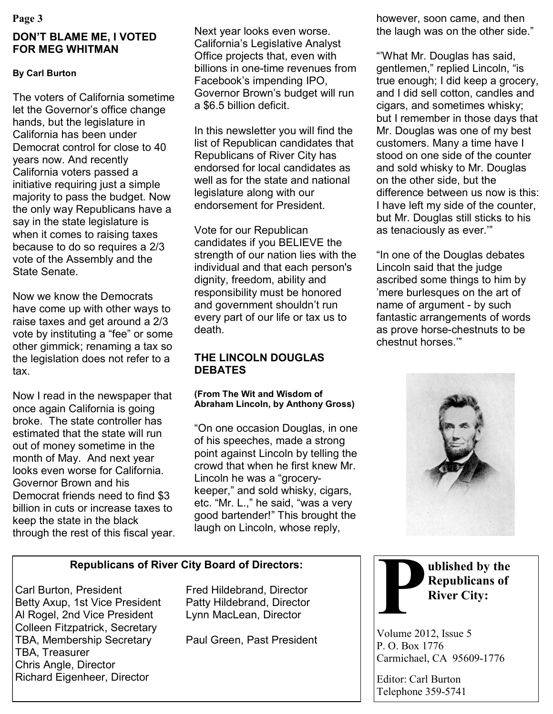# **DON'T BLAME ME, I VOTED FOR MEG WHITMAN**

### **By Carl Burton**

The voters of California sometime let the Governor's office change hands, but the legislature in California has been under Democrat control for close to 40 years now. And recently California voters passed a initiative requiring just a simple majority to pass the budget. Now the only way Republicans have a say in the state legislature is when it comes to raising taxes because to do so requires a 2/3 vote of the Assembly and the State Senate.

Now we know the Democrats have come up with other ways to raise taxes and get around a 2/3 vote by instituting a "fee" or some other gimmick; renaming a tax so the legislation does not refer to a tax.

Now I read in the newspaper that once again California is going broke. The state controller has estimated that the state will run out of money sometime in the month of May. And next year looks even worse for California. Governor Brown and his Democrat friends need to find \$3 billion in cuts or increase taxes to keep the state in the black through the rest of this fiscal year. Next year looks even worse. California's Legislative Analyst Office projects that, even with billions in one-time revenues from Facebook's impending IPO, Governor Brown's budget will run a \$6.5 billion deficit.

In this newsletter you will find the list of Republican candidates that Republicans of River City has endorsed for local candidates as well as for the state and national legislature along with our endorsement for President.

Vote for our Republican candidates if you BELIEVE the strength of our nation lies with the individual and that each person's dignity, freedom, ability and responsibility must be honored and government shouldn't run every part of our life or tax us to death.

### **THE LINCOLN DOUGLAS DEBATES**

#### **(From The Wit and Wisdom of Abraham Lincoln, by Anthony Gross)**

"On one occasion Douglas, in one of his speeches, made a strong point against Lincoln by telling the crowd that when he first knew Mr. Lincoln he was a "grocerykeeper," and sold whisky, cigars, etc. "Mr. L.," he said, "was a very good bartender!" This brought the laugh on Lincoln, whose reply,

## **Republicans of River City Board of Directors:**

Carl Burton, President Fred Hildebrand, Director Betty Axup, 1st Vice President Patty Hildebrand, Director Al Rogel, 2nd Vice President Lynn MacLean, Director Colleen Fitzpatrick, Secretary TBA, Membership Secretary Paul Green, Past President TBA, Treasurer Chris Angle, Director Richard Eigenheer, Director

**Page 3** however, soon came, and then however, soon came, and then the laugh was on the other side."

> "'What Mr. Douglas has said, gentlemen," replied Lincoln, "is true enough; I did keep a grocery, and I did sell cotton, candles and cigars, and sometimes whisky; but I remember in those days that Mr. Douglas was one of my best customers. Many a time have I stood on one side of the counter and sold whisky to Mr. Douglas on the other side, but the difference between us now is this: I have left my side of the counter, but Mr. Douglas still sticks to his as tenaciously as ever.'"

"In one of the Douglas debates Lincoln said that the judge ascribed some things to him by 'mere burlesques on the art of name of argument - by such fantastic arrangements of words as prove horse-chestnuts to be chestnut horses.'"





Volume 2012, Issue 5 P. O. Box 1776 Carmichael, CA 95609-1776

Editor: Carl Burton Telephone 359-5741